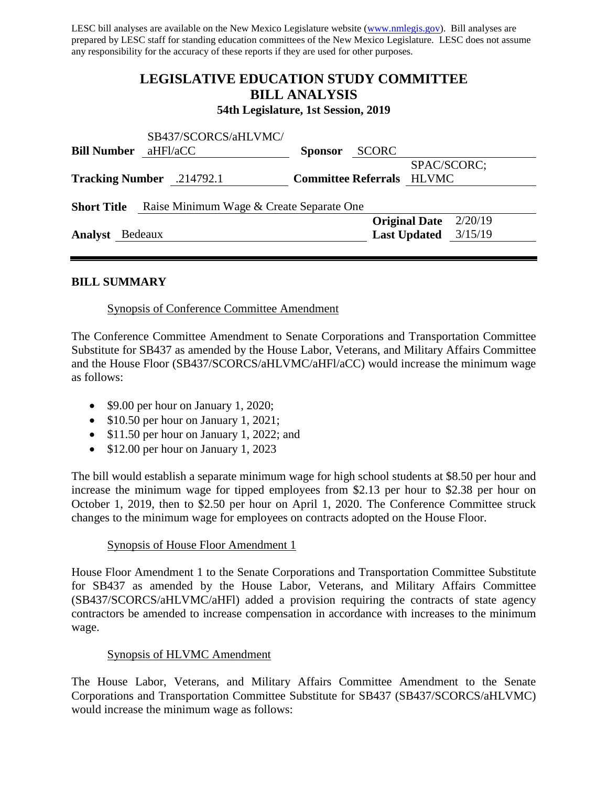LESC bill analyses are available on the New Mexico Legislature website [\(www.nmlegis.gov\)](http://www.nmlegis.gov/). Bill analyses are prepared by LESC staff for standing education committees of the New Mexico Legislature. LESC does not assume any responsibility for the accuracy of these reports if they are used for other purposes.

# **LEGISLATIVE EDUCATION STUDY COMMITTEE BILL ANALYSIS**

**54th Legislature, 1st Session, 2019**

| <b>Sponsor</b>                           | <b>SCORC</b>                     |
|------------------------------------------|----------------------------------|
|                                          | SPAC/SCORC;                      |
|                                          | <b>Committee Referrals HLVMC</b> |
|                                          |                                  |
| Raise Minimum Wage & Create Separate One |                                  |
|                                          | <b>Original Date</b><br>2/20/19  |
| aHFl/aCC<br>Tracking Number .214792.1    | SB437/SCORCS/aHLVMC/             |

## **BILL SUMMARY**

Synopsis of Conference Committee Amendment

The Conference Committee Amendment to Senate Corporations and Transportation Committee Substitute for SB437 as amended by the House Labor, Veterans, and Military Affairs Committee and the House Floor (SB437/SCORCS/aHLVMC/aHFl/aCC) would increase the minimum wage as follows:

- \$9.00 per hour on January 1, 2020;
- \$10.50 per hour on January 1, 2021;
- \$11.50 per hour on January 1, 2022; and
- \$12.00 per hour on January 1, 2023

The bill would establish a separate minimum wage for high school students at \$8.50 per hour and increase the minimum wage for tipped employees from \$2.13 per hour to \$2.38 per hour on October 1, 2019, then to \$2.50 per hour on April 1, 2020. The Conference Committee struck changes to the minimum wage for employees on contracts adopted on the House Floor.

## Synopsis of House Floor Amendment 1

House Floor Amendment 1 to the Senate Corporations and Transportation Committee Substitute for SB437 as amended by the House Labor, Veterans, and Military Affairs Committee (SB437/SCORCS/aHLVMC/aHFl) added a provision requiring the contracts of state agency contractors be amended to increase compensation in accordance with increases to the minimum wage.

## Synopsis of HLVMC Amendment

The House Labor, Veterans, and Military Affairs Committee Amendment to the Senate Corporations and Transportation Committee Substitute for SB437 (SB437/SCORCS/aHLVMC) would increase the minimum wage as follows: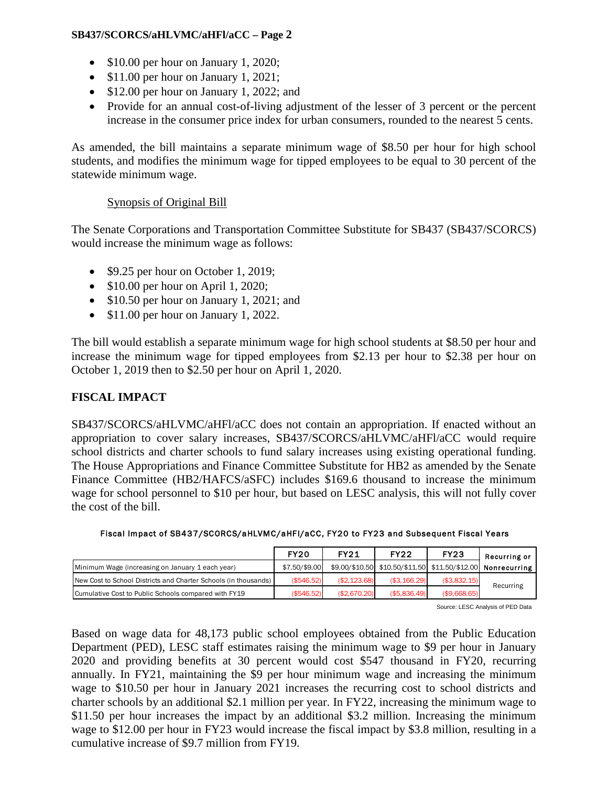## **SB437/SCORCS/aHLVMC/aHFl/aCC – Page 2**

- \$10.00 per hour on January 1, 2020;
- \$11.00 per hour on January 1, 2021;
- \$12.00 per hour on January 1, 2022; and
- Provide for an annual cost-of-living adjustment of the lesser of 3 percent or the percent increase in the consumer price index for urban consumers, rounded to the nearest 5 cents.

As amended, the bill maintains a separate minimum wage of \$8.50 per hour for high school students, and modifies the minimum wage for tipped employees to be equal to 30 percent of the statewide minimum wage.

# Synopsis of Original Bill

The Senate Corporations and Transportation Committee Substitute for SB437 (SB437/SCORCS) would increase the minimum wage as follows:

- \$9.25 per hour on October 1, 2019;
- \$10.00 per hour on April 1, 2020;
- \$10.50 per hour on January 1, 2021; and
- \$11.00 per hour on January 1, 2022.

The bill would establish a separate minimum wage for high school students at \$8.50 per hour and increase the minimum wage for tipped employees from \$2.13 per hour to \$2.38 per hour on October 1, 2019 then to \$2.50 per hour on April 1, 2020.

# **FISCAL IMPACT**

SB437/SCORCS/aHLVMC/aHFl/aCC does not contain an appropriation. If enacted without an appropriation to cover salary increases, SB437/SCORCS/aHLVMC/aHFl/aCC would require school districts and charter schools to fund salary increases using existing operational funding. The House Appropriations and Finance Committee Substitute for HB2 as amended by the Senate Finance Committee (HB2/HAFCS/aSFC) includes \$169.6 thousand to increase the minimum wage for school personnel to \$10 per hour, but based on LESC analysis, this will not fully cover the cost of the bill.

|                                                                 | <b>FY20</b>   | <b>FY21</b>  | <b>FY22</b>   | <b>FY23</b>  | Recurring or                                                |
|-----------------------------------------------------------------|---------------|--------------|---------------|--------------|-------------------------------------------------------------|
| Minimum Wage (increasing on January 1 each year)                | \$7.50/\$9.00 |              |               |              | \$9.00/\$10.50 \$10.50/\$11.50 \$11.50/\$12.00 Nonrecurring |
| New Cost to School Districts and Charter Schools (in thousands) | ( \$546.52)   | (\$2,123.68) | (\$3,166.29)  | (\$3,832.15) |                                                             |
| Cumulative Cost to Public Schools compared with FY19            | ( \$546.52)   | (S2.670.20)  | ( \$5.836.49) | (\$9.668.65) | Recurring                                                   |

## Fiscal Impact of SB437/SCORCS/aHLVMC/aHFl/aCC, FY20 to FY23 and Subsequent Fiscal Years

Source: LESC Analysis of PED Data

Based on wage data for 48,173 public school employees obtained from the Public Education Department (PED), LESC staff estimates raising the minimum wage to \$9 per hour in January 2020 and providing benefits at 30 percent would cost \$547 thousand in FY20, recurring annually. In FY21, maintaining the \$9 per hour minimum wage and increasing the minimum wage to \$10.50 per hour in January 2021 increases the recurring cost to school districts and charter schools by an additional \$2.1 million per year. In FY22, increasing the minimum wage to \$11.50 per hour increases the impact by an additional \$3.2 million. Increasing the minimum wage to \$12.00 per hour in FY23 would increase the fiscal impact by \$3.8 million, resulting in a cumulative increase of \$9.7 million from FY19.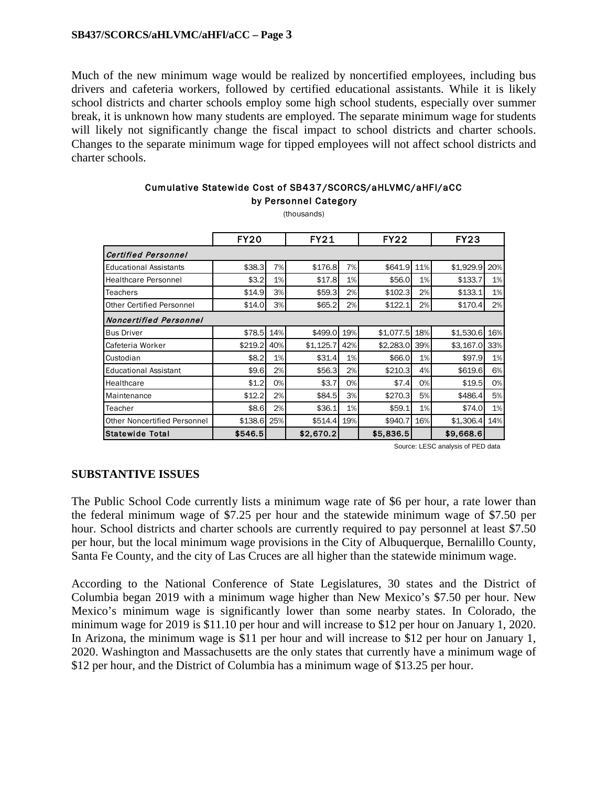#### **SB437/SCORCS/aHLVMC/aHFl/aCC – Page 3**

Much of the new minimum wage would be realized by noncertified employees, including bus drivers and cafeteria workers, followed by certified educational assistants. While it is likely school districts and charter schools employ some high school students, especially over summer break, it is unknown how many students are employed. The separate minimum wage for students will likely not significantly change the fiscal impact to school districts and charter schools. Changes to the separate minimum wage for tipped employees will not affect school districts and charter schools.

| Cumulative Statewide Cost of SB437/SCORCS/aHLVMC/aHFI/aCC |
|-----------------------------------------------------------|
| by Personnel Category                                     |

(thousands)

|                                     | <b>FY20</b> |       | <b>FY21</b> |     | <b>FY22</b> |     | FY23      |     |
|-------------------------------------|-------------|-------|-------------|-----|-------------|-----|-----------|-----|
| <b>Certified Personnel</b>          |             |       |             |     |             |     |           |     |
| <b>Educational Assistants</b>       | \$38.3      | 7%    | \$176.8     | 7%  | \$641.9     | 11% | \$1,929.9 | 20% |
| <b>Healthcare Personnel</b>         | \$3.2       | 1%    | \$17.8      | 1%  | \$56.0      | 1%  | \$133.7   | 1%  |
| Teachers                            | \$14.9      | 3%    | \$59.3      | 2%  | \$102.3     | 2%  | \$133.1   | 1%  |
| <b>Other Certified Personnel</b>    | \$14.0      | 3%    | \$65.2      | 2%  | \$122.1     | 2%  | \$170.4   | 2%  |
| Noncertified Personnel              |             |       |             |     |             |     |           |     |
| <b>Bus Driver</b>                   | \$78.5      | 14%   | \$499.0     | 19% | \$1,077.5   | 18% | \$1,530.6 | 16% |
| Cafeteria Worker                    | \$219.2     | 40%   | \$1,125.7   | 42% | \$2,283.0   | 39% | \$3,167.0 | 33% |
| Custodian                           | \$8.2       | 1%    | \$31.4      | 1%  | \$66.0      | 1%  | \$97.9    | 1%  |
| <b>Educational Assistant</b>        | \$9.6       | 2%    | \$56.3      | 2%  | \$210.3     | 4%  | \$619.6   | 6%  |
| Healthcare                          | \$1.2       | $0\%$ | \$3.7       | 0%  | \$7.4       | 0%  | \$19.5    | 0%  |
| Maintenance                         | \$12.2      | 2%    | \$84.5      | 3%  | \$270.3     | 5%  | \$486.4   | 5%  |
| Teacher                             | \$8.6       | 2%    | \$36.1      | 1%  | \$59.1      | 1%  | \$74.0    | 1%  |
| <b>Other Noncertified Personnel</b> | \$138.6     | 25%   | \$514.4     | 19% | \$940.7     | 16% | \$1,306.4 | 14% |
| Statewide Total                     | \$546.5     |       | \$2,670.2   |     | \$5,836.5   |     | \$9,668.6 |     |

Source: LESC analysis of PED data

## **SUBSTANTIVE ISSUES**

The Public School Code currently lists a minimum wage rate of \$6 per hour, a rate lower than the federal minimum wage of \$7.25 per hour and the statewide minimum wage of \$7.50 per hour. School districts and charter schools are currently required to pay personnel at least \$7.50 per hour, but the local minimum wage provisions in the City of Albuquerque, Bernalillo County, Santa Fe County, and the city of Las Cruces are all higher than the statewide minimum wage.

According to the National Conference of State Legislatures, 30 states and the District of Columbia began 2019 with a minimum wage higher than New Mexico's \$7.50 per hour. New Mexico's minimum wage is significantly lower than some nearby states. In Colorado, the minimum wage for 2019 is \$11.10 per hour and will increase to \$12 per hour on January 1, 2020. In Arizona, the minimum wage is \$11 per hour and will increase to \$12 per hour on January 1, 2020. Washington and Massachusetts are the only states that currently have a minimum wage of \$12 per hour, and the District of Columbia has a minimum wage of \$13.25 per hour.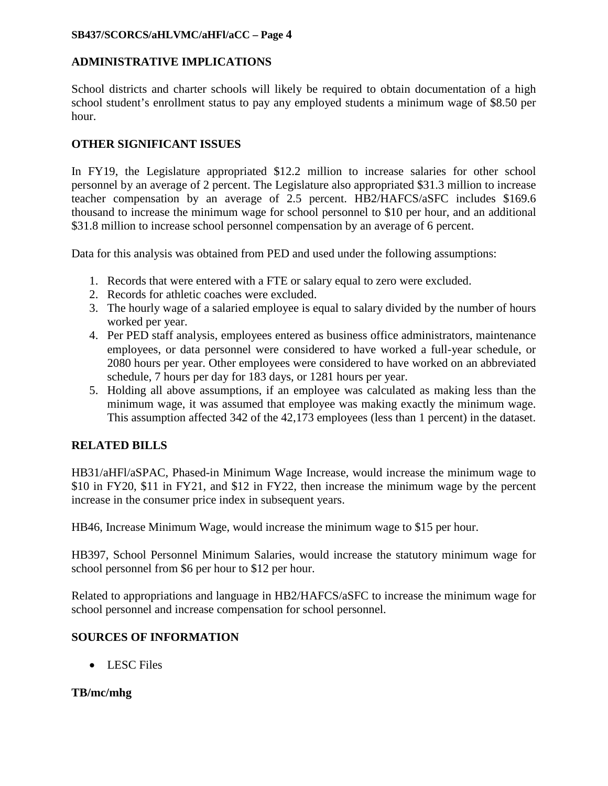## **SB437/SCORCS/aHLVMC/aHFl/aCC – Page 4**

# **ADMINISTRATIVE IMPLICATIONS**

School districts and charter schools will likely be required to obtain documentation of a high school student's enrollment status to pay any employed students a minimum wage of \$8.50 per hour.

# **OTHER SIGNIFICANT ISSUES**

In FY19, the Legislature appropriated \$12.2 million to increase salaries for other school personnel by an average of 2 percent. The Legislature also appropriated \$31.3 million to increase teacher compensation by an average of 2.5 percent. HB2/HAFCS/aSFC includes \$169.6 thousand to increase the minimum wage for school personnel to \$10 per hour, and an additional \$31.8 million to increase school personnel compensation by an average of 6 percent.

Data for this analysis was obtained from PED and used under the following assumptions:

- 1. Records that were entered with a FTE or salary equal to zero were excluded.
- 2. Records for athletic coaches were excluded.
- 3. The hourly wage of a salaried employee is equal to salary divided by the number of hours worked per year.
- 4. Per PED staff analysis, employees entered as business office administrators, maintenance employees, or data personnel were considered to have worked a full-year schedule, or 2080 hours per year. Other employees were considered to have worked on an abbreviated schedule, 7 hours per day for 183 days, or 1281 hours per year.
- 5. Holding all above assumptions, if an employee was calculated as making less than the minimum wage, it was assumed that employee was making exactly the minimum wage. This assumption affected 342 of the 42,173 employees (less than 1 percent) in the dataset.

# **RELATED BILLS**

HB31/aHFl/aSPAC, Phased-in Minimum Wage Increase, would increase the minimum wage to \$10 in FY20, \$11 in FY21, and \$12 in FY22, then increase the minimum wage by the percent increase in the consumer price index in subsequent years.

HB46, Increase Minimum Wage, would increase the minimum wage to \$15 per hour.

HB397, School Personnel Minimum Salaries, would increase the statutory minimum wage for school personnel from \$6 per hour to \$12 per hour.

Related to appropriations and language in HB2/HAFCS/aSFC to increase the minimum wage for school personnel and increase compensation for school personnel.

## **SOURCES OF INFORMATION**

• LESC Files

## **TB/mc/mhg**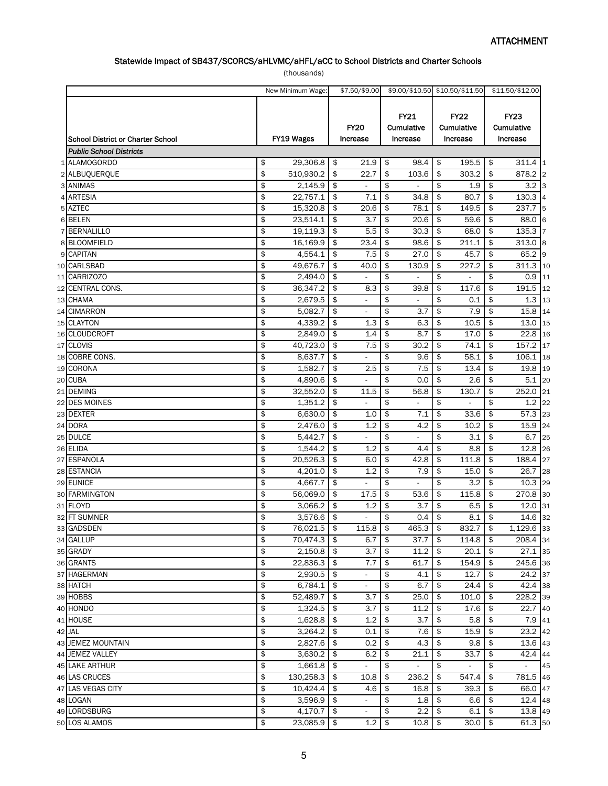## Statewide Impact of SB437/SCORCS/aHLVMC/aHFL/aCC to School Districts and Charter Schools

(thousands)

|                                   | New Minimum Wage:  |          | \$7.50/\$9.00            |               | \$9.00/\$10.50 \$10.50/\$11.50 |          |                                       |          | \$11.50/\$12.00                       |
|-----------------------------------|--------------------|----------|--------------------------|---------------|--------------------------------|----------|---------------------------------------|----------|---------------------------------------|
| School District or Charter School | FY19 Wages         |          | <b>FY20</b><br>Increase  |               | FY21<br>Cumulative<br>Increase |          | <b>FY22</b><br>Cumulative<br>Increase |          | <b>FY23</b><br>Cumulative<br>Increase |
| <b>Public School Districts</b>    |                    |          |                          |               |                                |          |                                       |          |                                       |
| 1 ALAMOGORDO                      | \$<br>29,306.8     | \$       | 21.9                     | \$            | 98.4                           | \$       | 195.5                                 | \$       | 311.4<br>1                            |
| 2 ALBUQUERQUE                     | \$<br>510,930.2    | \$       | 22.7                     | \$            | 103.6                          | \$       | 303.2                                 | \$       | 878.2 2                               |
| 3 ANIMAS                          | \$<br>2,145.9      | \$       |                          | \$            |                                | \$       | 1.9                                   | \$       | $3.2$ 3                               |
| 4 ARTESIA                         | \$<br>22,757.1     | \$       | 7.1                      | \$            | 34.8                           | \$       | 80.7                                  | \$       | 130.3                                 |
| 5 AZTEC                           | \$<br>15,320.8     | \$       | 20.6                     | \$            | 78.1                           | \$       | 149.5                                 | \$       | 237.7<br>15                           |
| 6 BELEN                           | \$<br>23,514.1     | \$       | 3.7                      | \$            | 20.6                           | \$       | 59.6                                  | \$       | 88.0<br>6                             |
| 7 BERNALILLO                      | \$<br>19,119.3     | \$       | 5.5                      | \$            | 30.3                           | \$       | 68.0                                  | \$       | 135.3                                 |
| 8 BLOOMFIELD                      | \$<br>16,169.9     | \$       | 23.4                     | \$            | 98.6                           | \$       | 211.1                                 | \$       | 313.0<br>8                            |
| 9 CAPITAN                         | \$<br>4,554.1      | \$       | 7.5                      | \$            | 27.0                           | \$       | 45.7                                  | \$       | 65.2<br>9                             |
| 10 CARLSBAD                       | \$<br>49,676.7     | \$       | 40.0                     | \$            | 130.9                          | \$       | 227.2                                 | \$       | 311.3 10                              |
| 11 CARRIZOZO                      | \$<br>2,494.0      | \$       |                          | \$            |                                | \$       |                                       | \$       | 0.9<br>11                             |
| 12 CENTRAL CONS.                  | \$<br>36,347.2     | \$       | 8.3                      | \$            | 39.8                           | \$       | 117.6                                 | \$       | 191.5 12                              |
| 13 CHAMA                          | \$<br>2,679.5      | \$       |                          | \$            |                                | \$       | 0.1                                   | \$       | $1.3$ 13                              |
| 14 CIMARRON                       | \$<br>5,082.7      | \$       |                          | \$            | 3.7                            | \$       | 7.9                                   | \$       | 15.8<br>14                            |
| 15 CLAYTON                        | \$<br>4,339.2      | \$       | 1.3                      | \$            | 6.3                            | \$       | 10.5                                  | \$       | 13.0<br>15                            |
| 16 CLOUDCROFT                     | \$<br>2,849.0      | \$       | 1.4                      | \$            | 8.7                            | \$       | 17.0                                  | \$       | 22.8<br>16                            |
| 17 CLOVIS                         | \$<br>40,723.0     | \$       | 7.5                      | \$            | 30.2                           | \$       | 74.1                                  | \$       | 157.2<br>17                           |
| 18 COBRE CONS.                    | \$<br>8,637.7      | \$       |                          | \$            | 9.6                            | \$       | 58.1                                  | \$       | 106.1<br>18                           |
| 19 CORONA                         | \$<br>1,582.7      | \$       | 2.5                      | \$            | 7.5                            | \$       | 13.4                                  | \$       | 19.8 19                               |
| 20 CUBA                           | \$<br>4,890.6      | \$       |                          | \$            | 0.0                            | \$       | 2.6                                   | \$       | 5.1<br>20                             |
| 21 DEMING                         | \$<br>32,552.0     | \$       | 11.5                     | \$            | 56.8                           | \$       | 130.7                                 | \$       | 252.0<br>21                           |
| 22 DES MOINES                     | \$<br>1,351.2      | \$       |                          | \$            |                                | \$       |                                       | \$       | $1.2$ 22                              |
| 23 DEXTER                         | \$<br>6,630.0      | \$       | 1.0                      | \$            | 7.1                            | \$       | 33.6                                  | \$       | 57.3 23                               |
| 24 DORA                           | \$<br>2,476.0      | \$       | 1.2                      | \$            | 4.2                            | \$       | 10.2                                  | \$       | 15.9 24                               |
| 25 DULCE                          | \$<br>5,442.7      | \$       |                          | \$            |                                | \$       | 3.1                                   | \$       | 6.7<br>25                             |
| 26 ELIDA                          | \$<br>1,544.2      | \$       | 1.2                      | \$            | 4.4                            | \$       | 8.8                                   | \$       | $12.8$ 26                             |
| 27 ESPANOLA                       | \$<br>20,526.3     | \$       | 6.0                      | \$            | 42.8                           | \$       | 111.8                                 | \$       | 188.4 27                              |
| 28 ESTANCIA                       | \$<br>4,201.0      | \$       | 1.2                      | \$            | 7.9                            | \$       | 15.0                                  | \$       | 26.7 28                               |
| 29 EUNICE                         | \$<br>4,667.7      | \$       |                          | \$            |                                | \$       | 3.2                                   | \$       | $10.3$ 29                             |
| 30 FARMINGTON                     | \$<br>56,069.0     | \$       | 17.5                     | \$            | 53.6                           | \$       | 115.8                                 | \$       | 270.8 30                              |
| 31 FLOYD                          | \$<br>3,066.2      | \$       | 1.2                      | \$            | 3.7                            | \$       | 6.5                                   | \$       | 12.0<br>31                            |
| 32 FT SUMNER                      | \$<br>3,576.6      | \$       |                          | \$            | 0.4                            | \$       | 8.1                                   | \$       | 14.6 32                               |
| 33 GADSDEN                        | \$<br>76,021.5     | \$       | 115.8                    | \$            | 465.3                          | \$       | 832.7                                 | \$       | 1,129.6 33                            |
| 34 GALLUP                         | \$<br>70,474.3     | \$       | 6.7                      | \$            | 37.7                           | \$       | 114.8                                 | \$       | 208.4 34                              |
| 35 GRADY                          | \$<br>2,150.8      | \$       | 3.7                      | \$            | 11.2                           | \$       | 20.1                                  | \$       | 27.1 35                               |
|                                   | \$<br>22,836.3     |          |                          |               | 61.7                           |          | 154.9                                 |          |                                       |
| 36 GRANTS<br>37 HAGERMAN          | \$<br>2,930.5      | \$<br>\$ | 7.7<br>$\blacksquare$    | \$<br>\$      | 4.1                            | \$<br>\$ | 12.7                                  | \$<br>\$ | 245.6 36<br>24.2 37                   |
| 38 HATCH                          | \$<br>6,784.1      | \$       |                          | \$            | 6.7                            |          | 24.4                                  |          | 42.4 38                               |
|                                   |                    |          |                          |               |                                | \$       |                                       | \$       |                                       |
| 39 HOBBS                          | \$<br>52,489.7     | \$       | 3.7                      | \$            | 25.0                           | \$       | 101.0                                 | \$       | 228.2 39                              |
| 40 HONDO                          | \$<br>1,324.5      | \$       | 3.7                      | $\frac{1}{2}$ | 11.2                           | \$       | 17.6                                  | \$       | 22.7 40                               |
| 41 HOUSE                          | \$<br>1,628.8      | \$       | 1.2                      | \$            | 3.7                            | \$       | 5.8                                   | \$       | 7.9 41                                |
| 42 JAL                            | \$<br>3,264.2      | \$       | 0.1                      | \$            | 7.6                            | \$       | 15.9                                  | \$       | 23.2 42                               |
| 43 JEMEZ MOUNTAIN                 | \$<br>2,827.6      | \$       | 0.2                      | \$            | 4.3                            | \$       | 9.8                                   | \$       | 13.6 43                               |
| 44 JEMEZ VALLEY                   | \$<br>3,630.2      | \$       | 6.2                      | \$            | 21.1                           | \$       | 33.7                                  | \$       | $42.4$ 44                             |
| 45 LAKE ARTHUR                    | \$<br>1,661.8      | \$       | ÷,                       | \$            |                                | \$       | $\overline{\phantom{a}}$              | \$       | $\mathcal{L}_{\mathcal{A}}$<br>45     |
| 46 LAS CRUCES                     | \$<br>130,258.3    | \$       | 10.8                     | \$            | 236.2                          | \$       | 547.4                                 | \$       | 781.5 46                              |
| 47 LAS VEGAS CITY                 | \$<br>10,424.4     | \$       | 4.6                      | \$            | 16.8                           | \$       | 39.3                                  | \$       | 66.0 47                               |
| 48 LOGAN                          | \$<br>3,596.9      | \$       | $\overline{\phantom{a}}$ | \$            | 1.8                            | \$       | 6.6                                   | \$       | 12.4 48                               |
| 49 LORDSBURG                      | \$<br>$4,170.7$ \$ |          | $\blacksquare$           | \$            | 2.2                            | \$       | 6.1                                   | \$       | 13.8 49                               |
| 50 LOS ALAMOS                     | \$<br>23,085.9 \$  |          | 1.2                      | $\frac{1}{2}$ | $10.8$ \$                      |          | $30.0$ \$                             |          | 61.3 50                               |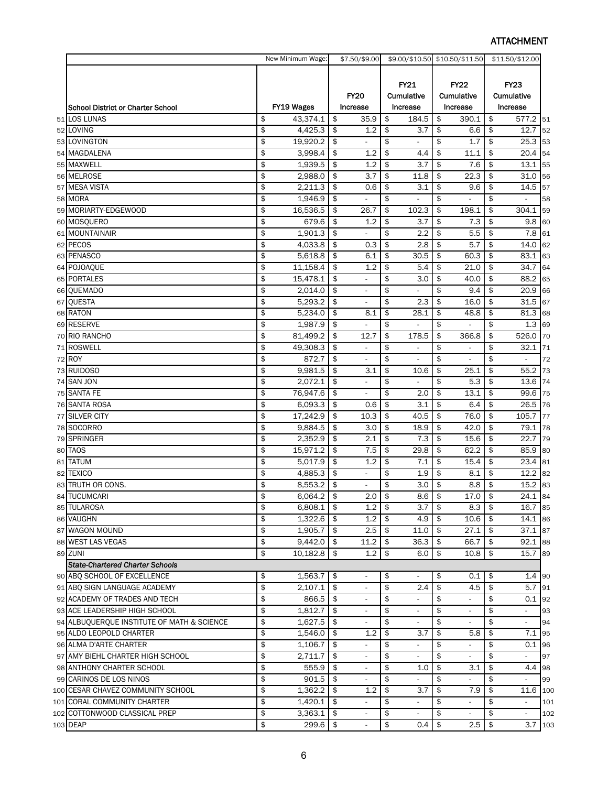# ATTACHMENT

|                                            | New Minimum Wage: |            |               | \$7.50/\$9.00            |            |                          | \$9.00/\$10.50 \$10.50/\$11.50 |                                 | \$11.50/\$12.00 |                       |     |
|--------------------------------------------|-------------------|------------|---------------|--------------------------|------------|--------------------------|--------------------------------|---------------------------------|-----------------|-----------------------|-----|
|                                            |                   |            |               |                          |            |                          |                                |                                 |                 |                       |     |
|                                            |                   |            |               |                          |            | FY21                     |                                | <b>FY22</b>                     |                 |                       |     |
|                                            |                   |            |               | <b>FY20</b>              | Cumulative |                          |                                | Cumulative                      | Cumulative      |                       |     |
| <b>School District or Charter School</b>   |                   | FY19 Wages |               | Increase                 |            | Increase                 |                                | Increase                        |                 | Increase              |     |
| 51 LOS LUNAS                               | \$                | 43,374.1   | \$            | 35.9                     | \$         | 184.5                    | \$                             | 390.1                           | \$              | 577.2                 | 51  |
| 52 LOVING                                  | \$                | 4,425.3    | \$            | 1.2                      | \$         | 3.7                      | \$                             | 6.6                             | \$              | 12.7                  | 52  |
| 53 LOVINGTON                               | \$                | 19,920.2   | \$            |                          | \$         | ä,                       | \$                             | $1.\overline{7}$                | \$              | 25.3                  | 53  |
| 54 MAGDALENA                               | \$                | 3,998.4    | \$            | 1.2                      | \$         | 4.4                      | \$                             | 11.1                            | \$              | 20.4                  | 54  |
| 55 MAXWELL                                 | \$                | 1.939.5    | \$            | 1.2                      | \$         | 3.7                      | \$                             | 7.6                             | \$              | 13.1                  | 55  |
| 56 MELROSE                                 | \$                | 2,988.0    | \$            | 3.7                      | \$         | 11.8                     | \$                             | 22.3                            | \$              | 31.0                  | 56  |
| 57 MESA VISTA                              | \$                | 2,211.3    | \$            | 0.6                      | \$         | 3.1                      | \$                             | 9.6                             | \$              | 14.5                  | 57  |
| 58 MORA                                    | \$                | 1,946.9    | \$            | ä,                       | \$         | ÷,                       | \$                             |                                 | \$              |                       | 58  |
| 59 MORIARTY-EDGEWOOD                       | \$                | 16,536.5   | \$            | 26.7                     | \$         | 102.3                    | \$                             | 198.1                           | \$              | 304.1                 | 59  |
| 60 MOSQUERO                                | \$                | 679.6      | \$            | 1.2                      | \$         | 3.7                      | \$                             | 7.3                             | \$              | 9.8                   | 60  |
| 61 MOUNTAINAIR                             | \$                | 1,901.3    | \$            |                          | \$         | 2.2                      | \$                             | 5.5                             | \$              | 7.8                   | 61  |
| 62 PECOS                                   | \$                | 4,033.8    | \$            | 0.3                      | \$         | 2.8                      | \$                             | 5.7                             | \$              | 14.0                  | 62  |
| 63 PENASCO                                 | \$                | 5,618.8    | \$            | 6.1                      | \$         | 30.5                     | \$                             | 60.3                            | \$              | 83.1                  | 63  |
| 64 POJOAQUE                                | \$                | 11,158.4   | \$            | 1.2                      | \$         | 5.4                      | \$                             | 21.0                            | \$              | 34.7                  | 64  |
| 65 PORTALES                                | \$                | 15,478.1   | \$            |                          | \$         | 3.0                      | \$                             | 40.0                            | \$              | 88.2                  | 65  |
| 66 QUEMADO                                 | \$                | 2,014.0    | \$            | ÷,                       | \$         | L,                       | \$                             | 9.4                             | \$              | 20.9                  | 66  |
| 67 QUESTA                                  | \$                | 5,293.2    | \$            | $\blacksquare$           | \$         | 2.3                      | \$                             | 16.0                            | \$              | 31.5                  | 67  |
| 68 RATON                                   | \$                | 5,234.0    | \$            | 8.1                      | \$         | 28.1                     | \$                             | 48.8                            | \$              | 81.3                  | 68  |
| 69 RESERVE                                 | \$                | 1,987.9    | \$            |                          | \$         |                          | \$                             |                                 | \$              | 1.3                   | 69  |
| 70 RIO RANCHO                              | \$                | 81,499.2   | \$            | 12.7                     | \$         | 178.5                    | \$                             | 366.8                           | \$              | 526.0                 | 70  |
| 71 ROSWELL                                 | \$                | 49,308.3   | \$            |                          | \$         |                          | \$                             |                                 | \$              | 32.1                  | 71  |
| 72 ROY                                     | \$                | 872.7      | \$            | $\blacksquare$           | \$         | ä,                       | \$                             | $\overline{\phantom{a}}$        | \$              | $\bar{\phantom{a}}$   | 72  |
| 73 RUIDOSO                                 | \$                | 9,981.5    | \$            | 3.1                      | \$         | 10.6                     | \$                             | 25.1                            | \$              | 55.2                  | 73  |
| 74 SAN JON                                 | \$                | 2,072.1    | \$            |                          | \$         |                          | \$                             | 5.3                             | \$              | 13.6                  | 74  |
| 75 SANTA FE                                | \$                | 76,947.6   | \$            |                          | \$         | 2.0                      | \$                             | 13.1                            | \$              | 99.6                  | 75  |
| 76 SANTA ROSA                              | \$                | 6,093.3    | \$            | 0.6                      | \$         | 3.1                      | \$                             | 6.4                             | \$              | 26.5                  | 76  |
| 77 SILVER CITY                             | \$                | 17,242.9   | \$            | 10.3                     | \$         | 40.5                     | \$                             | 76.0                            | \$              | 105.7                 | 77  |
| 78 SOCORRO                                 | \$                | 9,884.5    | \$            | 3.0                      | \$         | 18.9                     | \$                             | 42.0                            | \$              | 79.1                  | 78  |
| 79 SPRINGER                                | \$                | 2,352.9    | \$            | 2.1                      | \$         | 7.3                      | \$                             | 15.6                            | \$              | 22.7                  | 79  |
| 80 TAOS                                    | \$                | 15,971.2   | \$            | 7.5                      | \$         | 29.8                     | \$                             | 62.2                            | \$              | 85.9                  | 80  |
| 81 TATUM                                   | \$                | 5,017.9    | \$            | 1.2                      | \$         | 7.1                      | \$                             | 15.4                            | \$              | 23.4                  | 81  |
| 82 TEXICO                                  | \$                | 4,885.3    | \$            |                          | \$         | 1.9                      | \$                             | 8.1                             | \$              | 12.2                  | 82  |
| 83 TRUTH OR CONS.                          | \$                | 8,553.2    | \$            | $\overline{\phantom{a}}$ | \$         | 3.0                      | \$                             | 8.8                             | \$              | 15.2                  | 83  |
| 84 TUCUMCARI                               | \$                | 6,064.2    | \$            | 2.0                      | \$         | 8.6                      | \$                             | 17.0                            | \$              | $\overline{24.1}$ 84  |     |
| 85 TULAROSA                                | \$                | 6,808.1    | $\frac{4}{3}$ | 1.2                      | \$         | 3.7                      | \$                             | 8.3                             | \$              | 16.7 85               |     |
| 86 VAUGHN                                  | \$                | 1,322.6    | \$            | 1.2                      | \$         | 4.9                      | \$                             | 10.6                            | \$              | 14.1 86               |     |
| 87 WAGON MOUND                             | \$                | 1,905.7    | \$            | 2.5                      | \$         | 11.0                     | \$                             | 27.1                            | \$              | 37.1 87               |     |
| 88 WEST LAS VEGAS                          | \$                | 9,442.0    | \$            | 11.2                     | \$         | 36.3                     | \$                             | 66.7                            | \$              | 92.1 88               |     |
| 89 ZUNI                                    | \$                | 10,182.8   | \$            | 1.2                      | \$         | 6.0                      | \$                             | 10.8                            | \$              | 15.7 89               |     |
| <b>State-Chartered Charter Schools</b>     |                   |            |               |                          |            |                          |                                |                                 |                 |                       |     |
| 90 ABQ SCHOOL OF EXCELLENCE                | \$                | 1,563.7    | \$            | $\blacksquare$           | \$         | $\bar{\phantom{a}}$      | \$                             | 0.1                             | \$              | $1.4 \, 90$           |     |
| 91 ABQ SIGN LANGUAGE ACADEMY               | \$                | 2,107.1    | \$            | $\overline{\phantom{a}}$ | \$         | 2.4                      | \$                             | 4.5                             | \$              | 5.7 91                |     |
| 92 ACADEMY OF TRADES AND TECH              | \$                | 866.5      | \$            | $\overline{\phantom{a}}$ | \$         | $\overline{\phantom{a}}$ | \$                             | ÷,                              | \$              | $0.1$ 92              |     |
| 93 ACE LEADERSHIP HIGH SCHOOL              | \$                | 1,812.7    | \$            | $\overline{\phantom{a}}$ | \$         | $\blacksquare$           | \$                             | $\overline{\phantom{a}}$        | \$              | $\blacksquare$        | 93  |
| 94 ALBUQUERQUE INSTITUTE OF MATH & SCIENCE | \$                | 1,627.5    | \$            | $\overline{\phantom{a}}$ | \$         |                          | \$                             |                                 | \$              |                       | 94  |
| 95 ALDO LEOPOLD CHARTER                    | \$                | 1,546.0    | \$            | 1.2                      | \$         | $\blacksquare$<br>3.7    | \$                             | $\overline{\phantom{a}}$<br>5.8 | \$              | $\blacksquare$<br>7.1 | 95  |
| 96 ALMA D'ARTE CHARTER                     | \$                | 1,106.7    | \$            | $\blacksquare$           | \$         | ÷,                       | \$                             | $\overline{a}$                  | \$              | 0.1                   |     |
| 97 AMY BIEHL CHARTER HIGH SCHOOL           |                   |            |               |                          |            |                          |                                |                                 |                 |                       | 96  |
|                                            | \$<br>\$          | 2,711.7    | \$            | $\overline{a}$           | \$<br>\$   | $\overline{\phantom{a}}$ | \$<br>\$                       | $\overline{a}$                  | \$<br>\$        | $\blacksquare$        | 97  |
| 98 ANTHONY CHARTER SCHOOL                  |                   | 555.9      | \$            | $\overline{\phantom{a}}$ |            | 1.0                      |                                | 3.1                             |                 | 4.4                   | 98  |
| 99 CARINOS DE LOS NINOS                    | \$                | 901.5      | \$            | $\blacksquare$           | \$         |                          | \$                             |                                 | \$              |                       | 99  |
| 100 CESAR CHAVEZ COMMUNITY SCHOOL          | \$                | 1,362.2    | \$            | 1.2                      | \$         | 3.7                      | \$                             | 7.9                             | \$              | 11.6 100              |     |
| 101 CORAL COMMUNITY CHARTER                | \$                | 1,420.1    | \$            | $\blacksquare$           | \$         | $\blacksquare$           | \$                             | $\overline{\phantom{a}}$        | \$              | $\blacksquare$        | 101 |
| 102 COTTONWOOD CLASSICAL PREP              | \$                | 3,363.1    | \$            | $\blacksquare$           | \$         | $\overline{\phantom{a}}$ | \$                             | $\blacksquare$                  | \$              | $\omega$              | 102 |
| 103 DEAP                                   | \$                | 299.6      | $\frac{1}{2}$ | $\blacksquare$           | \$         | $0.4$ \$                 |                                | $2.5$ \$                        |                 | 3.7 103               |     |